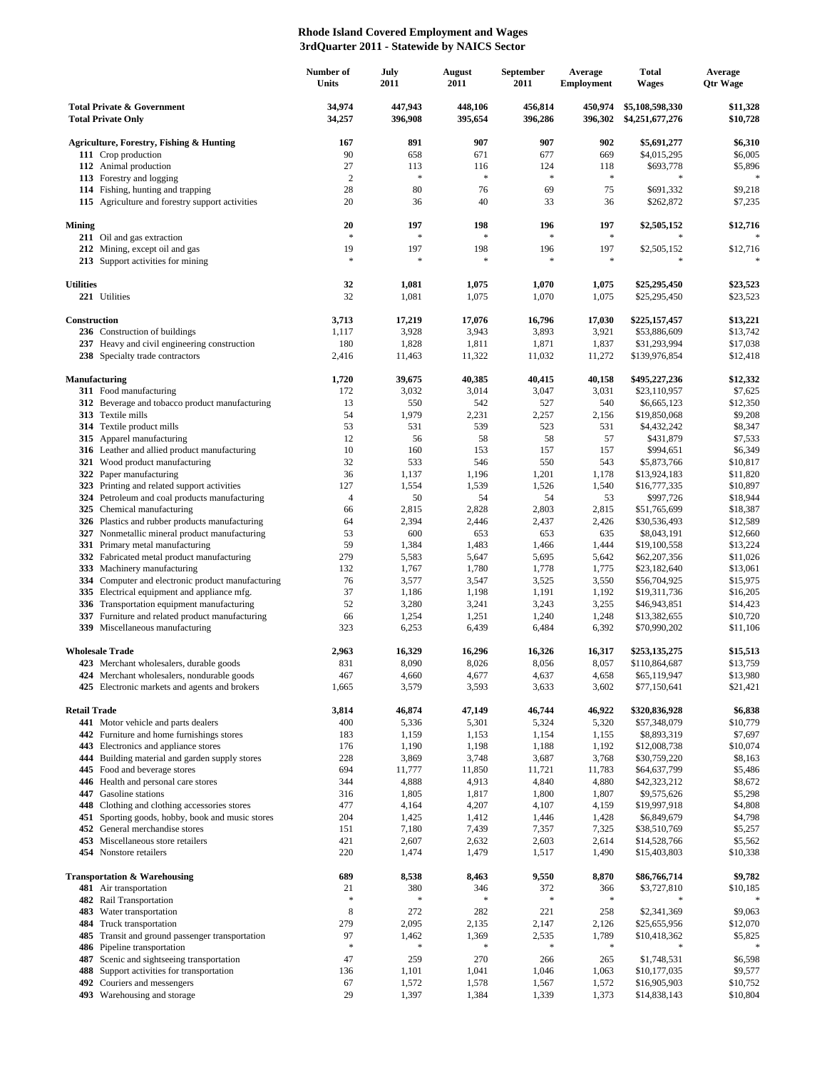## **Rhode Island Covered Employment and Wages 3rdQuarter 2011 - Statewide by NAICS Sector**

|                                                                    |                                                                                   | Number of<br>Units | July<br>2011       | August<br>2011     | September<br>2011  | Average<br><b>Employment</b> | <b>Total</b><br><b>Wages</b>       | Average<br><b>Qtr Wage</b> |
|--------------------------------------------------------------------|-----------------------------------------------------------------------------------|--------------------|--------------------|--------------------|--------------------|------------------------------|------------------------------------|----------------------------|
| <b>Total Private &amp; Government</b><br><b>Total Private Only</b> |                                                                                   | 34,974<br>34,257   | 447.943<br>396,908 | 448,106<br>395,654 | 456,814<br>396,286 | 450,974<br>396,302           | \$5,108,598,330<br>\$4,251,677,276 | \$11,328<br>\$10,728       |
|                                                                    | <b>Agriculture, Forestry, Fishing &amp; Hunting</b>                               | 167                | 891                | 907                | 907                | 902                          | \$5,691,277                        | \$6,310                    |
|                                                                    | 111 Crop production                                                               | 90                 | 658                | 671                | 677                | 669                          | \$4,015,295                        | \$6,005                    |
|                                                                    | 112 Animal production                                                             | 27                 | 113                | 116                | 124                | 118                          | \$693,778                          | \$5,896                    |
|                                                                    | 113 Forestry and logging                                                          | $\overline{2}$     | $\frac{1}{2}$      | $\frac{1}{2}$      | $\approx$          | $\ast$                       | $\ast$                             | $\ast$                     |
|                                                                    | 114 Fishing, hunting and trapping                                                 | 28                 | 80                 | 76                 | 69                 | 75                           | \$691,332                          | \$9,218                    |
|                                                                    | 115 Agriculture and forestry support activities                                   | 20                 | 36                 | 40                 | 33                 | 36                           | \$262,872                          | \$7,235                    |
| <b>Mining</b>                                                      | 211 Oil and gas extraction                                                        | 20<br>$\ast$       | 197<br>$\ast$      | 198<br>$\ast$      | 196<br>$\ast$      | 197<br>$\ast$                | \$2,505,152                        | \$12,716                   |
|                                                                    | 212 Mining, except oil and gas                                                    | 19                 | 197                | 198                | 196                | 197                          | \$2,505,152                        | \$12,716                   |
|                                                                    | 213 Support activities for mining                                                 | $\ast$             | $\ast$             | $\ast$             | \$                 | $\ast$                       | $\ast$                             | $\ast$                     |
| <b>Utilities</b>                                                   |                                                                                   | 32                 | 1,081              | 1,075              | 1,070              | 1,075                        | \$25,295,450                       | \$23,523                   |
|                                                                    | 221 Utilities                                                                     | 32                 | 1,081              | 1,075              | 1,070              | 1,075                        | \$25,295,450                       | \$23,523                   |
| Construction                                                       |                                                                                   | 3,713              | 17,219             | 17,076             | 16,796             | 17,030                       | \$225,157,457                      | \$13,221                   |
|                                                                    | 236 Construction of buildings                                                     | 1,117              | 3,928              | 3,943              | 3,893              | 3,921                        | \$53,886,609                       | \$13,742                   |
|                                                                    | 237 Heavy and civil engineering construction<br>238 Specialty trade contractors   | 180<br>2,416       | 1,828<br>11,463    | 1,811              | 1,871<br>11,032    | 1,837<br>11,272              | \$31,293,994                       | \$17,038                   |
|                                                                    |                                                                                   |                    |                    | 11,322             |                    |                              | \$139,976,854                      | \$12,418                   |
| Manufacturing                                                      |                                                                                   | 1,720              | 39,675             | 40,385             | 40,415             | 40,158                       | \$495,227,236                      | \$12,332                   |
|                                                                    | 311 Food manufacturing                                                            | 172                | 3,032              | 3,014              | 3,047              | 3,031                        | \$23,110,957                       | \$7,625                    |
|                                                                    | 312 Beverage and tobacco product manufacturing                                    | 13                 | 550                | 542                | 527                | 540                          | \$6,665,123                        | \$12,350                   |
|                                                                    | 313 Textile mills<br>314 Textile product mills                                    | 54<br>53           | 1,979<br>531       | 2,231<br>539       | 2,257<br>523       | 2,156<br>531                 | \$19,850,068                       | \$9,208<br>\$8,347         |
|                                                                    | 315 Apparel manufacturing                                                         | 12                 | 56                 | 58                 | 58                 | 57                           | \$4,432,242<br>\$431,879           | \$7,533                    |
|                                                                    | 316 Leather and allied product manufacturing                                      | 10                 | 160                | 153                | 157                | 157                          | \$994,651                          | \$6,349                    |
|                                                                    | 321 Wood product manufacturing                                                    | 32                 | 533                | 546                | 550                | 543                          | \$5,873,766                        | \$10,817                   |
|                                                                    | 322 Paper manufacturing                                                           | 36                 | 1,137              | 1,196              | 1,201              | 1,178                        | \$13,924,183                       | \$11,820                   |
|                                                                    | 323 Printing and related support activities                                       | 127                | 1,554              | 1,539              | 1,526              | 1,540                        | \$16,777,335                       | \$10,897                   |
|                                                                    | 324 Petroleum and coal products manufacturing                                     | $\overline{4}$     | 50                 | 54                 | 54                 | 53                           | \$997,726                          | \$18,944                   |
| 325                                                                | Chemical manufacturing                                                            | 66                 | 2,815              | 2,828              | 2,803              | 2,815                        | \$51,765,699                       | \$18,387                   |
|                                                                    | 326 Plastics and rubber products manufacturing                                    | 64                 | 2,394              | 2,446              | 2,437              | 2,426                        | \$30,536,493                       | \$12,589                   |
|                                                                    | 327 Nonmetallic mineral product manufacturing                                     | 53                 | 600                | 653                | 653                | 635                          | \$8,043,191                        | \$12,660                   |
|                                                                    | 331 Primary metal manufacturing                                                   | 59                 | 1,384              | 1,483              | 1,466              | 1,444                        | \$19,100,558                       | \$13,224                   |
|                                                                    | 332 Fabricated metal product manufacturing                                        | 279                | 5,583              | 5,647              | 5,695              | 5,642                        | \$62,207,356                       | \$11,026                   |
| 333                                                                | Machinery manufacturing<br>334 Computer and electronic product manufacturing      | 132<br>76          | 1,767<br>3,577     | 1,780<br>3,547     | 1,778<br>3,525     | 1,775<br>3,550               | \$23,182,640<br>\$56,704,925       | \$13,061<br>\$15,975       |
|                                                                    | 335 Electrical equipment and appliance mfg.                                       | 37                 | 1,186              | 1,198              | 1,191              | 1,192                        | \$19,311,736                       | \$16,205                   |
|                                                                    | 336 Transportation equipment manufacturing                                        | 52                 | 3,280              | 3,241              | 3,243              | 3,255                        | \$46,943,851                       | \$14,423                   |
|                                                                    | 337 Furniture and related product manufacturing                                   | 66                 | 1,254              | 1,251              | 1,240              | 1,248                        | \$13,382,655                       | \$10,720                   |
|                                                                    | 339 Miscellaneous manufacturing                                                   | 323                | 6,253              | 6,439              | 6,484              | 6,392                        | \$70,990,202                       | \$11,106                   |
| <b>Wholesale Trade</b>                                             |                                                                                   | 2,963              | 16,329             | 16,296             | 16,326             | 16,317                       | \$253,135,275                      | \$15,513                   |
|                                                                    | 423 Merchant wholesalers, durable goods                                           | 831                | 8,090              | 8,026              | 8,056              | 8,057                        | \$110,864,687                      | \$13,759                   |
|                                                                    | 424 Merchant wholesalers, nondurable goods                                        | 467                | 4,660              | 4,677              | 4,637              | 4,658                        | \$65,119,947                       | \$13,980                   |
|                                                                    | 425 Electronic markets and agents and brokers                                     | 1,665              | 3,579              | 3,593              | 3,633              | 3,602                        | \$77,150,641                       | \$21,421                   |
| <b>Retail Trade</b>                                                |                                                                                   | 3,814              | 46,874             | 47,149             | 46,744             | 46,922                       | \$320,836,928                      | \$6,838                    |
|                                                                    | 441 Motor vehicle and parts dealers                                               | 400                | 5,336              | 5,301              | 5,324              | 5,320                        | \$57,348,079                       | \$10,779                   |
|                                                                    | 442 Furniture and home furnishings stores<br>443 Electronics and appliance stores | 183<br>176         | 1,159<br>1,190     | 1,153<br>1,198     | 1,154<br>1,188     | 1,155<br>1,192               | \$8,893,319<br>\$12,008,738        | \$7,697<br>\$10,074        |
|                                                                    | 444 Building material and garden supply stores                                    | 228                | 3,869              | 3,748              | 3,687              | 3,768                        | \$30,759,220                       | \$8,163                    |
|                                                                    | 445 Food and beverage stores                                                      | 694                | 11,777             | 11,850             | 11,721             | 11,783                       | \$64,637,799                       | \$5,486                    |
|                                                                    | 446 Health and personal care stores                                               | 344                | 4,888              | 4,913              | 4,840              | 4,880                        | \$42,323,212                       | \$8,672                    |
|                                                                    | 447 Gasoline stations                                                             | 316                | 1,805              | 1,817              | 1,800              | 1,807                        | \$9,575,626                        | \$5,298                    |
|                                                                    | 448 Clothing and clothing accessories stores                                      | 477                | 4,164              | 4,207              | 4,107              | 4,159                        | \$19,997,918                       | \$4,808                    |
|                                                                    | 451 Sporting goods, hobby, book and music stores                                  | 204                | 1,425              | 1,412              | 1,446              | 1,428                        | \$6,849,679                        | \$4,798                    |
|                                                                    | 452 General merchandise stores                                                    | 151                | 7,180              | 7,439              | 7,357              | 7,325                        | \$38,510,769                       | \$5,257                    |
|                                                                    | 453 Miscellaneous store retailers                                                 | 421                | 2,607              | 2,632              | 2,603              | 2,614                        | \$14,528,766                       | \$5,562                    |
|                                                                    | 454 Nonstore retailers                                                            | 220                | 1,474              | 1,479              | 1,517              | 1,490                        | \$15,403,803                       | \$10,338                   |
|                                                                    | <b>Transportation &amp; Warehousing</b>                                           | 689                | 8,538              | 8,463              | 9,550              | 8,870                        | \$86,766,714                       | \$9,782                    |
|                                                                    | 481 Air transportation                                                            | 21<br>$\ast$       | 380<br>$\ast$      | 346                | 372<br>$\ast$      | 366<br>$\ast$                | \$3,727,810                        | \$10,185                   |
|                                                                    | 482 Rail Transportation<br>483 Water transportation                               | 8                  | 272                | 282                | 221                | 258                          | \$2,341,369                        | \$9,063                    |
|                                                                    | 484 Truck transportation                                                          | 279                | 2,095              | 2,135              | 2,147              | 2,126                        | \$25,655,956                       | \$12,070                   |
|                                                                    | 485 Transit and ground passenger transportation                                   | 97                 | 1,462              | 1,369              | 2,535              | 1,789                        | \$10,418,362                       | \$5,825                    |
|                                                                    | 486 Pipeline transportation                                                       | $\gg$              | $\ast$             | $\ast$             | $\ast$             | $\ast$                       |                                    |                            |
|                                                                    | 487 Scenic and sightseeing transportation                                         | 47                 | 259                | 270                | 266                | 265                          | \$1,748,531                        | \$6,598                    |
| 488                                                                | Support activities for transportation                                             | 136                | 1,101              | 1,041              | 1,046              | 1,063                        | \$10,177,035                       | \$9,577                    |
|                                                                    | 492 Couriers and messengers                                                       | 67                 | 1,572              | 1,578              | 1,567              | 1,572                        | \$16,905,903                       | \$10,752                   |
|                                                                    | 493 Warehousing and storage                                                       | 29                 | 1,397              | 1,384              | 1,339              | 1,373                        | \$14,838,143                       | \$10,804                   |